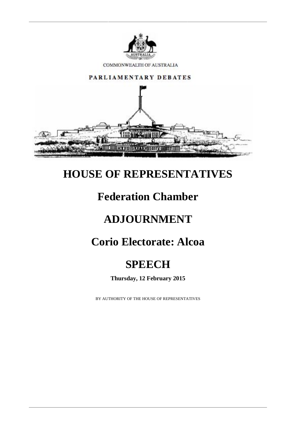

COMMONWEALTH OF AUSTRALIA



#### **HOUSE OF REPRESENTATIVES**

#### **Federation Chamber**

# **ADJOURNMENT**

## **Corio Electorate: Alcoa**

## **SPEECH**

**Thursday, 12 February 2015**

BY AUTHORITY OF THE HOUSE OF REPRESENTATIVES